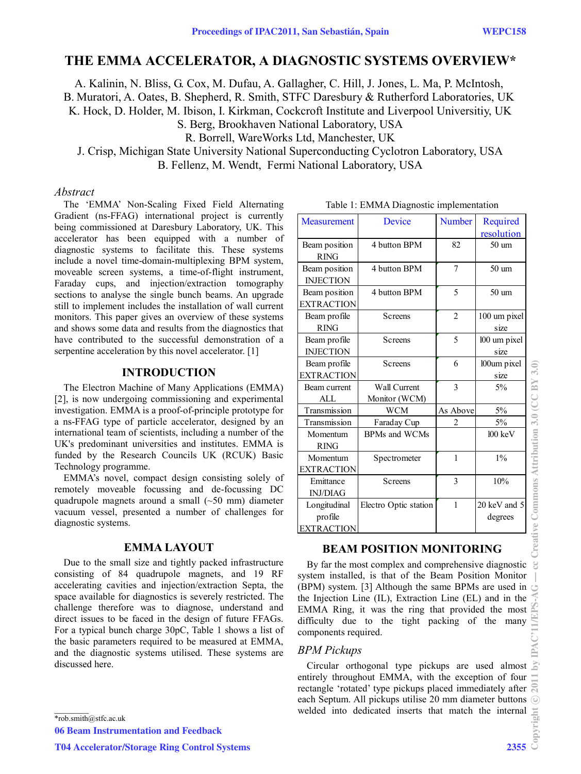# **THE EMMA ACCELERATOR, A DIAGNOSTIC SYSTEMS OVERVIEW\***

A. Kalinin, N. Bliss, G. Cox, M. Dufau, A. Gallagher, C. Hill, J. Jones, L. Ma, P. McIntosh,

B. Muratori, A. Oates, B. Shepherd, R. Smith, STFC Daresbury & Rutherford Laboratories, UK

K. Hock, D. Holder, M. Ibison, I. Kirkman, Cockcroft Institute and Liverpool Universitiy, UK

S. Berg, Brookhaven National Laboratory, USA

R. Borrell, WareWorks Ltd, Manchester, UK

J. Crisp, Michigan State University National Superconducting Cyclotron Laboratory, USA B. Fellenz, M. Wendt, Fermi National Laboratory, USA

# *Abstract*

The 'EMMA' Non-Scaling Fixed Field Alternating Gradient (ns-FFAG) international project is currently being commissioned at Daresbury Laboratory, UK. This accelerator has been equipped with a number of diagnostic systems to facilitate this. These systems include a novel time-domain-multiplexing BPM system, moveable screen systems, a time-of-flight instrument, Faraday cups, and injection/extraction tomography sections to analyse the single bunch beams. An upgrade still to implement includes the installation of wall current monitors. This paper gives an overview of these systems and shows some data and results from the diagnostics that have contributed to the successful demonstration of a serpentine acceleration by this novel accelerator. [1]

# **INTRODUCTION**

The Electron Machine of Many Applications (EMMA) [2], is now undergoing commissioning and experimental investigation. EMMA is a proof-of-principle prototype for a ns-FFAG type of particle accelerator, designed by an international team of scientists, including a number of the UK's predominant universities and institutes. EMMA is funded by the Research Councils UK (RCUK) Basic Technology programme.

EMMA's novel, compact design consisting solely of remotely moveable focussing and de-focussing DC quadrupole magnets around a small (~50 mm) diameter vacuum vessel, presented a number of challenges for diagnostic systems.

# **EMMA LAYOUT**

Due to the small size and tightly packed infrastructure consisting of 84 quadrupole magnets, and 19 RF accelerating cavities and injection/extraction Septa, the space available for diagnostics is severely restricted. The challenge therefore was to diagnose, understand and direct issues to be faced in the design of future FFAGs. For a typical bunch charge 30pC, Table 1 shows a list of the basic parameters required to be measured at EMMA, and the diagnostic systems utilised. These systems are discussed here.

 $\mathcal{L}=\mathcal{L}$ \*rob.smith@stfc.ac.uk

06 Beam Instrumentation and Feedback

| Measurement       | Device                | <b>Number</b>  | Required          |
|-------------------|-----------------------|----------------|-------------------|
|                   |                       |                | resolution        |
| Beam position     | 4 button BPM          | 82             | $50 \text{ um}$   |
| <b>RING</b>       |                       |                |                   |
| Beam position     | 4 button BPM          | 7              | $50 \text{ um}$   |
| <b>INJECTION</b>  |                       |                |                   |
| Beam position     | 4 button BPM          | 5              | $50 \text{ um}$   |
| <b>EXTRACTION</b> |                       |                |                   |
|                   |                       |                |                   |
| Beam profile      | Screens               | $\overline{2}$ | 100 um pixel      |
| <b>RING</b>       |                       |                | size              |
| Beam profile      | <b>Screens</b>        | 5              | 100 um pixel      |
| <b>INJECTION</b>  |                       |                | size              |
| Beam profile      | Screens               | 6              | 100um pixel       |
| <b>EXTRACTION</b> |                       |                | size              |
| Beam current      | Wall Current          | $\overline{3}$ | 5%                |
| ALL               | Monitor (WCM)         |                |                   |
| Transmission      | <b>WCM</b>            | As Above       | 5%                |
| Transmission      | Faraday Cup           | 2              | 5%                |
| Momentum          | <b>BPMs and WCMs</b>  |                | $100 \text{ keV}$ |
| <b>RING</b>       |                       |                |                   |
| Momentum          | Spectrometer          | 1              | $1\%$             |
| <b>EXTRACTION</b> |                       |                |                   |
| Emittance         | Screens               | $\overline{3}$ | 10%               |
| <b>INJ/DIAG</b>   |                       |                |                   |
| Longitudinal      | Electro Optic station | $\mathbf{1}$   | 20 keV and 5      |
| profile           |                       |                | degrees           |
| <b>EXTRACTION</b> |                       |                |                   |

**BEAM POSITION MONITORING** 

components required.

*BPM Pickups* 

#### Table 1: EMMA Diagnostic implementation

T04 Accelerator/Storage Ring Control Systems 2355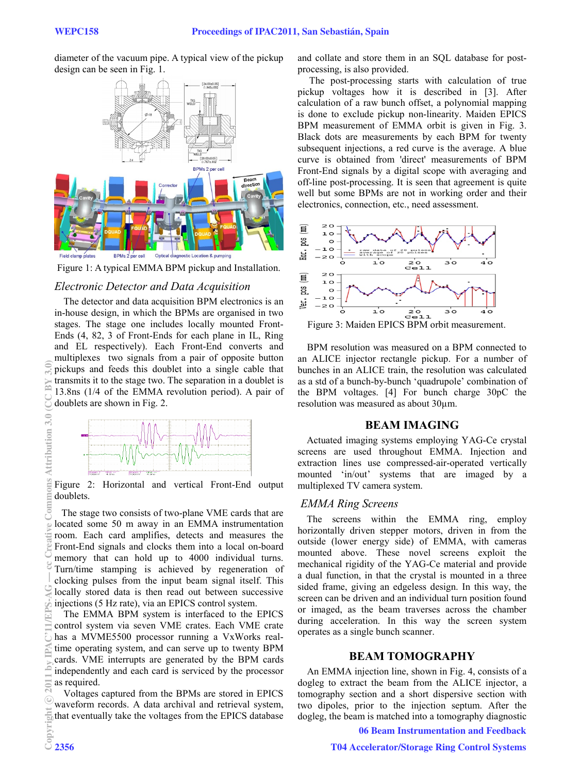diameter of the vacuum pipe. A typical view of the pickup design can be seen in Fig. 1.



Figure 1: A typical EMMA BPM pickup and Installation.

# *Electronic Detector and Data Acquisition*

The detector and data acquisition BPM electronics is an in-house design, in which the BPMs are organised in two stages. The stage one includes locally mounted Front-Ends (4, 82, 3 of Front-Ends for each plane in IL, Ring and EL respectively). Each Front-End converts and multiplexes two signals from a pair of opposite button pickups and feeds this doublet into a single cable that transmits it to the stage two. The separation in a doublet is 13.8ns (1/4 of the EMMA revolution period). A pair of doublets are shown in Fig. 2.



Figure 2: Horizontal and vertical Front-End output doublets.

 The stage two consists of two-plane VME cards that are located some 50 m away in an EMMA instrumentation room. Each card amplifies, detects and measures the Front-End signals and clocks them into a local on-board memory that can hold up to 4000 individual turns. Turn/time stamping is achieved by regeneration of clocking pulses from the input beam signal itself. This locally stored data is then read out between successive injections (5 Hz rate), via an EPICS control system.

The EMMA BPM system is interfaced to the EPICS control system via seven VME crates. Each VME crate has a MVME5500 processor running a VxWorks realtime operating system, and can serve up to twenty BPM cards. VME interrupts are generated by the BPM cards independently and each card is serviced by the processor as required.

Voltages captured from the BPMs are stored in EPICS waveform records. A data archival and retrieval system, that eventually take the voltages from the EPICS database  $\frac{1}{2}$ <br> $\frac{1}{2}$ <br> $\frac{2356}{2}$  and collate and store them in an SQL database for postprocessing, is also provided.

 The post-processing starts with calculation of true pickup voltages how it is described in [3]. After calculation of a raw bunch offset, a polynomial mapping is done to exclude pickup non-linearity. Maiden EPICS BPM measurement of EMMA orbit is given in Fig. 3. Black dots are measurements by each BPM for twenty subsequent injections, a red curve is the average. A blue curve is obtained from 'direct' measurements of BPM Front-End signals by a digital scope with averaging and off-line post-processing. It is seen that agreement is quite well but some BPMs are not in working order and their electronics, connection, etc., need assessment.



Figure 3: Maiden EPICS BPM orbit measurement.

 BPM resolution was measured on a BPM connected to an ALICE injector rectangle pickup. For a number of bunches in an ALICE train, the resolution was calculated as a std of a bunch-by-bunch 'quadrupole' combination of the BPM voltages. [4] For bunch charge 30pC the resolution was measured as about 30μm.

### **BEAM IMAGING**

Actuated imaging systems employing YAG-Ce crystal screens are used throughout EMMA. Injection and extraction lines use compressed-air-operated vertically mounted 'in/out' systems that are imaged by a multiplexed TV camera system.

# *EMMA Ring Screens*

The screens within the EMMA ring, employ horizontally driven stepper motors, driven in from the outside (lower energy side) of EMMA, with cameras mounted above. These novel screens exploit the mechanical rigidity of the YAG-Ce material and provide a dual function, in that the crystal is mounted in a three sided frame, giving an edgeless design. In this way, the screen can be driven and an individual turn position found or imaged, as the beam traverses across the chamber during acceleration. In this way the screen system operates as a single bunch scanner.

# **BEAM TOMOGRAPHY**

An EMMA injection line, shown in Fig. 4, consists of a dogleg to extract the beam from the ALICE injector, a tomography section and a short dispersive section with two dipoles, prior to the injection septum. After the dogleg, the beam is matched into a tomography diagnostic

06 Beam Instrumentation and Feedback